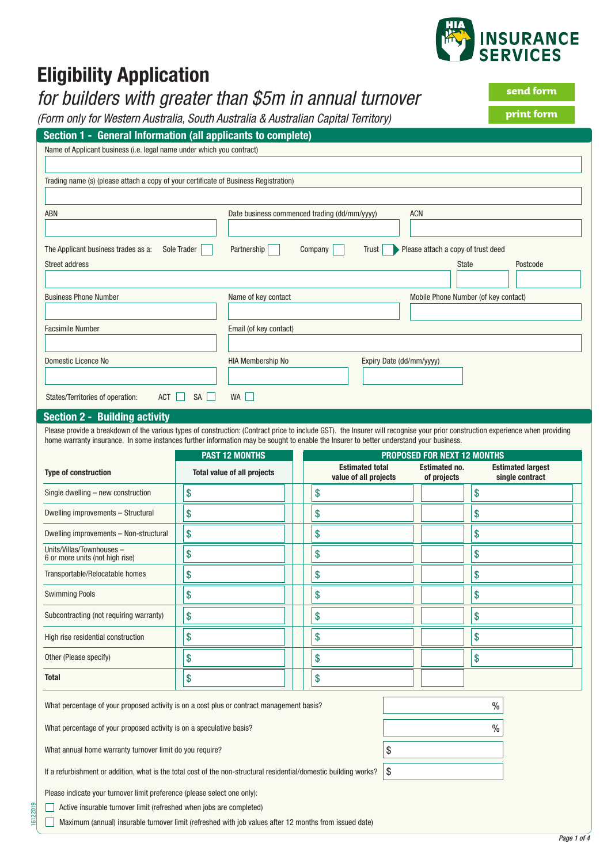

# **Eligibility Application**

### *for builders with greater than \$5m in annual turnover*

*(Form only for Western Australia, South Australia & Australian Capital Territory)*

| Section 1 - General Information (all applicants to complete)                                                                                                                                                                                                                                                             |                                                             |                                              |                                      |                          |  |
|--------------------------------------------------------------------------------------------------------------------------------------------------------------------------------------------------------------------------------------------------------------------------------------------------------------------------|-------------------------------------------------------------|----------------------------------------------|--------------------------------------|--------------------------|--|
| Name of Applicant business (i.e. legal name under which you contract)                                                                                                                                                                                                                                                    |                                                             |                                              |                                      |                          |  |
|                                                                                                                                                                                                                                                                                                                          |                                                             |                                              |                                      |                          |  |
| Trading name (s) (please attach a copy of your certificate of Business Registration)                                                                                                                                                                                                                                     |                                                             |                                              |                                      |                          |  |
|                                                                                                                                                                                                                                                                                                                          |                                                             |                                              |                                      |                          |  |
| <b>ABN</b>                                                                                                                                                                                                                                                                                                               |                                                             | Date business commenced trading (dd/mm/yyyy) | <b>ACN</b>                           |                          |  |
|                                                                                                                                                                                                                                                                                                                          |                                                             |                                              |                                      |                          |  |
| The Applicant business trades as a:                                                                                                                                                                                                                                                                                      | Sole Trader<br>Partnership                                  | Company<br><b>Trust</b>                      | Please attach a copy of trust deed   |                          |  |
| <b>Street address</b>                                                                                                                                                                                                                                                                                                    |                                                             |                                              | <b>State</b>                         | Postcode                 |  |
|                                                                                                                                                                                                                                                                                                                          |                                                             |                                              |                                      |                          |  |
| <b>Business Phone Number</b>                                                                                                                                                                                                                                                                                             | Name of key contact                                         |                                              | Mobile Phone Number (of key contact) |                          |  |
|                                                                                                                                                                                                                                                                                                                          |                                                             |                                              |                                      |                          |  |
| <b>Facsimile Number</b>                                                                                                                                                                                                                                                                                                  | Email (of key contact)                                      |                                              |                                      |                          |  |
|                                                                                                                                                                                                                                                                                                                          |                                                             |                                              |                                      |                          |  |
| Domestic Licence No                                                                                                                                                                                                                                                                                                      | <b>HIA Membership No</b>                                    |                                              | Expiry Date (dd/mm/yyyy)             |                          |  |
|                                                                                                                                                                                                                                                                                                                          |                                                             |                                              |                                      |                          |  |
|                                                                                                                                                                                                                                                                                                                          |                                                             |                                              |                                      |                          |  |
| $ACT$    <br>States/Territories of operation:                                                                                                                                                                                                                                                                            | SA<br>WA                                                    |                                              |                                      |                          |  |
| <b>Section 2 - Building activity</b>                                                                                                                                                                                                                                                                                     |                                                             |                                              |                                      |                          |  |
| Please provide a breakdown of the various types of construction: (Contract price to include GST). the Insurer will recognise your prior construction experience when providing<br>home warranty insurance. In some instances further information may be sought to enable the Insurer to better understand your business. |                                                             |                                              |                                      |                          |  |
|                                                                                                                                                                                                                                                                                                                          | <b>PAST 12 MONTHS</b><br><b>PROPOSED FOR NEXT 12 MONTHS</b> |                                              |                                      |                          |  |
| Tyne of construction                                                                                                                                                                                                                                                                                                     | Total value of all projects                                 | <b>Estimated total</b>                       | <b>Estimated no.</b>                 | <b>Estimated largest</b> |  |

| <b>Type of construction</b>                                  | <b>Total value of all projects</b> |  | <b>Estimated total</b><br>value of all projects | <b>Estimated no.</b><br>of projects | <b>Estimated largest</b><br>single contract |
|--------------------------------------------------------------|------------------------------------|--|-------------------------------------------------|-------------------------------------|---------------------------------------------|
| Single dwelling - new construction                           | \$                                 |  | \$                                              |                                     | \$                                          |
| Dwelling improvements - Structural                           | \$                                 |  | \$                                              |                                     | \$                                          |
| Dwelling improvements - Non-structural                       | \$                                 |  | \$                                              |                                     | \$                                          |
| Units/Villas/Townhouses -<br>6 or more units (not high rise) | \$                                 |  | S                                               |                                     | \$                                          |
| Transportable/Relocatable homes                              | \$                                 |  | \$                                              |                                     | \$                                          |
| <b>Swimming Pools</b>                                        | \$                                 |  | \$                                              |                                     | \$                                          |
| Subcontracting (not requiring warranty)                      | \$                                 |  | \$                                              |                                     | \$                                          |
| High rise residential construction                           | \$                                 |  | \$                                              |                                     | \$                                          |
| Other (Please specify)                                       | \$                                 |  | \$                                              |                                     | \$                                          |
| <b>Total</b>                                                 | \$                                 |  | S                                               |                                     |                                             |

What percentage of your proposed activity is on a cost plus or contract management basis?  $\%$ 

What percentage of your proposed activity is on a speculative basis? What is not all the state of the state of the state of the state of the state of the state of the state of the state of the state of the state of the sta

What annual home warranty turnover limit do you require?  $\sim$ 

If a refurbishment or addition, what is the total cost of the non-structural residential/domestic building works?  $\| \$ 

Please indicate your turnover limit preference (please select one only):

Active insurable turnover limit (refreshed when jobs are completed)

Maximum (annual) insurable turnover limit (refreshed with job values after 12 months from issued date)

**print form**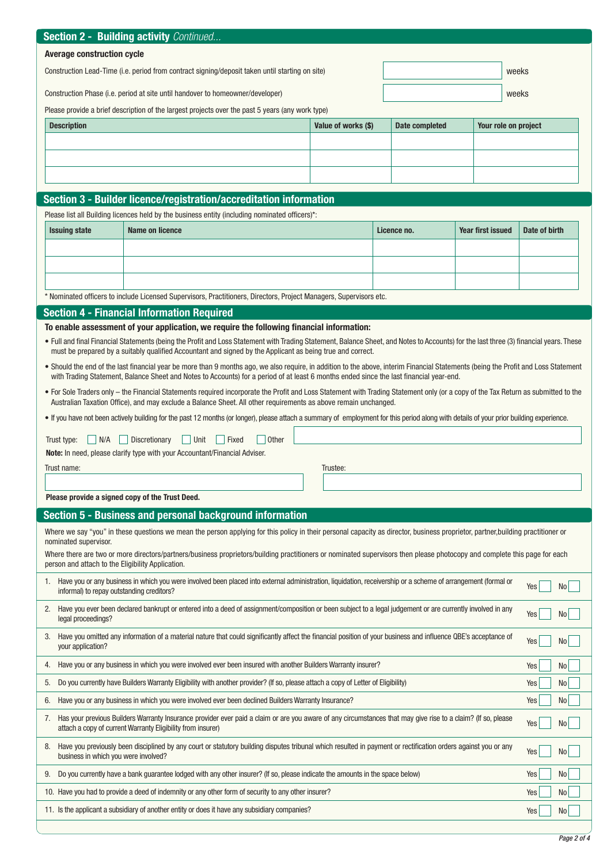|                                                                                                                                                                                                                                | <b>Section 2 - Building activity Continued</b>                                                                                                                                                                                                                                                              |                                                                                                                                                                                                                                                                                                                                |                     |                |                   |                        |  |
|--------------------------------------------------------------------------------------------------------------------------------------------------------------------------------------------------------------------------------|-------------------------------------------------------------------------------------------------------------------------------------------------------------------------------------------------------------------------------------------------------------------------------------------------------------|--------------------------------------------------------------------------------------------------------------------------------------------------------------------------------------------------------------------------------------------------------------------------------------------------------------------------------|---------------------|----------------|-------------------|------------------------|--|
| <b>Average construction cycle</b>                                                                                                                                                                                              |                                                                                                                                                                                                                                                                                                             |                                                                                                                                                                                                                                                                                                                                |                     |                |                   |                        |  |
| Construction Lead-Time (i.e. period from contract signing/deposit taken until starting on site)                                                                                                                                |                                                                                                                                                                                                                                                                                                             |                                                                                                                                                                                                                                                                                                                                |                     |                | weeks             |                        |  |
| Construction Phase (i.e. period at site until handover to homeowner/developer)                                                                                                                                                 |                                                                                                                                                                                                                                                                                                             |                                                                                                                                                                                                                                                                                                                                |                     |                | weeks             |                        |  |
|                                                                                                                                                                                                                                |                                                                                                                                                                                                                                                                                                             | Please provide a brief description of the largest projects over the past 5 years (any work type)                                                                                                                                                                                                                               |                     |                |                   |                        |  |
|                                                                                                                                                                                                                                | <b>Description</b>                                                                                                                                                                                                                                                                                          |                                                                                                                                                                                                                                                                                                                                | Value of works (\$) | Date completed |                   | Your role on project   |  |
|                                                                                                                                                                                                                                |                                                                                                                                                                                                                                                                                                             |                                                                                                                                                                                                                                                                                                                                |                     |                |                   |                        |  |
|                                                                                                                                                                                                                                |                                                                                                                                                                                                                                                                                                             |                                                                                                                                                                                                                                                                                                                                |                     |                |                   |                        |  |
|                                                                                                                                                                                                                                |                                                                                                                                                                                                                                                                                                             |                                                                                                                                                                                                                                                                                                                                |                     |                |                   |                        |  |
|                                                                                                                                                                                                                                |                                                                                                                                                                                                                                                                                                             | Section 3 - Builder licence/registration/accreditation information                                                                                                                                                                                                                                                             |                     |                |                   |                        |  |
|                                                                                                                                                                                                                                |                                                                                                                                                                                                                                                                                                             | Please list all Building licences held by the business entity (including nominated officers)*:                                                                                                                                                                                                                                 |                     |                |                   |                        |  |
|                                                                                                                                                                                                                                | <b>Issuing state</b>                                                                                                                                                                                                                                                                                        | <b>Name on licence</b>                                                                                                                                                                                                                                                                                                         |                     | Licence no.    | Year first issued | Date of birth          |  |
|                                                                                                                                                                                                                                |                                                                                                                                                                                                                                                                                                             |                                                                                                                                                                                                                                                                                                                                |                     |                |                   |                        |  |
|                                                                                                                                                                                                                                |                                                                                                                                                                                                                                                                                                             |                                                                                                                                                                                                                                                                                                                                |                     |                |                   |                        |  |
|                                                                                                                                                                                                                                |                                                                                                                                                                                                                                                                                                             |                                                                                                                                                                                                                                                                                                                                |                     |                |                   |                        |  |
|                                                                                                                                                                                                                                |                                                                                                                                                                                                                                                                                                             | * Nominated officers to include Licensed Supervisors, Practitioners, Directors, Project Managers, Supervisors etc.                                                                                                                                                                                                             |                     |                |                   |                        |  |
|                                                                                                                                                                                                                                |                                                                                                                                                                                                                                                                                                             | <b>Section 4 - Financial Information Required</b>                                                                                                                                                                                                                                                                              |                     |                |                   |                        |  |
|                                                                                                                                                                                                                                |                                                                                                                                                                                                                                                                                                             | To enable assessment of your application, we require the following financial information:                                                                                                                                                                                                                                      |                     |                |                   |                        |  |
|                                                                                                                                                                                                                                |                                                                                                                                                                                                                                                                                                             | . Full and final Financial Statements (being the Profit and Loss Statement with Trading Statement, Balance Sheet, and Notes to Accounts) for the last three (3) financial years. These<br>must be prepared by a suitably qualified Accountant and signed by the Applicant as being true and correct.                           |                     |                |                   |                        |  |
|                                                                                                                                                                                                                                |                                                                                                                                                                                                                                                                                                             | • Should the end of the last financial year be more than 9 months ago, we also require, in addition to the above, interim Financial Statements (being the Profit and Loss Statement<br>with Trading Statement, Balance Sheet and Notes to Accounts) for a period of at least 6 months ended since the last financial year-end. |                     |                |                   |                        |  |
|                                                                                                                                                                                                                                |                                                                                                                                                                                                                                                                                                             | • For Sole Traders only – the Financial Statements required incorporate the Profit and Loss Statement with Trading Statement only (or a copy of the Tax Return as submitted to the                                                                                                                                             |                     |                |                   |                        |  |
|                                                                                                                                                                                                                                | Australian Taxation Office), and may exclude a Balance Sheet. All other requirements as above remain unchanged.<br>. If you have not been actively building for the past 12 months (or longer), please attach a summary of employment for this period along with details of your prior building experience. |                                                                                                                                                                                                                                                                                                                                |                     |                |                   |                        |  |
|                                                                                                                                                                                                                                |                                                                                                                                                                                                                                                                                                             |                                                                                                                                                                                                                                                                                                                                |                     |                |                   |                        |  |
|                                                                                                                                                                                                                                | N/A<br>Discretionary<br>  Unit<br><b>Other</b><br>Trust type:<br>Fixed<br>Note: In need, please clarify type with your Accountant/Financial Adviser.                                                                                                                                                        |                                                                                                                                                                                                                                                                                                                                |                     |                |                   |                        |  |
|                                                                                                                                                                                                                                | Trust name:                                                                                                                                                                                                                                                                                                 |                                                                                                                                                                                                                                                                                                                                | Trustee:            |                |                   |                        |  |
|                                                                                                                                                                                                                                |                                                                                                                                                                                                                                                                                                             |                                                                                                                                                                                                                                                                                                                                |                     |                |                   |                        |  |
|                                                                                                                                                                                                                                | Please provide a signed copy of the Trust Deed.                                                                                                                                                                                                                                                             |                                                                                                                                                                                                                                                                                                                                |                     |                |                   |                        |  |
|                                                                                                                                                                                                                                |                                                                                                                                                                                                                                                                                                             | Section 5 - Business and personal background information                                                                                                                                                                                                                                                                       |                     |                |                   |                        |  |
|                                                                                                                                                                                                                                | nominated supervisor.                                                                                                                                                                                                                                                                                       | Where we say "you" in these questions we mean the person applying for this policy in their personal capacity as director, business proprietor, partner, building practitioner or                                                                                                                                               |                     |                |                   |                        |  |
| Where there are two or more directors/partners/business proprietors/building practitioners or nominated supervisors then please photocopy and complete this page for each<br>person and attach to the Eligibility Application. |                                                                                                                                                                                                                                                                                                             |                                                                                                                                                                                                                                                                                                                                |                     |                |                   |                        |  |
| 1.                                                                                                                                                                                                                             | informal) to repay outstanding creditors?                                                                                                                                                                                                                                                                   | Have you or any business in which you were involved been placed into external administration, liquidation, receivership or a scheme of arrangement (formal or                                                                                                                                                                  |                     |                |                   | Yes<br>No l            |  |
| 2.                                                                                                                                                                                                                             | Have you ever been declared bankrupt or entered into a deed of assignment/composition or been subject to a legal judgement or are currently involved in any<br>Yes<br>No <sub>1</sub>                                                                                                                       |                                                                                                                                                                                                                                                                                                                                |                     |                |                   |                        |  |
| 3.                                                                                                                                                                                                                             | legal proceedings?<br>Have you omitted any information of a material nature that could significantly affect the financial position of your business and influence QBE's acceptance of<br>Yes<br>No  <br>your application?                                                                                   |                                                                                                                                                                                                                                                                                                                                |                     |                |                   |                        |  |
| 4.                                                                                                                                                                                                                             |                                                                                                                                                                                                                                                                                                             | Have you or any business in which you were involved ever been insured with another Builders Warranty insurer?                                                                                                                                                                                                                  |                     |                |                   | Yes<br>No <sub>1</sub> |  |
| 5.                                                                                                                                                                                                                             |                                                                                                                                                                                                                                                                                                             | Do you currently have Builders Warranty Eligibility with another provider? (If so, please attach a copy of Letter of Eligibility)                                                                                                                                                                                              |                     |                |                   | Yes<br>No              |  |
| 6.                                                                                                                                                                                                                             |                                                                                                                                                                                                                                                                                                             | Have you or any business in which you were involved ever been declined Builders Warranty Insurance?                                                                                                                                                                                                                            |                     |                |                   | Yes<br>No <sub>1</sub> |  |
| 7.                                                                                                                                                                                                                             |                                                                                                                                                                                                                                                                                                             | Has your previous Builders Warranty Insurance provider ever paid a claim or are you aware of any circumstances that may give rise to a claim? (If so, please<br>attach a copy of current Warranty Eligibility from insurer)                                                                                                    |                     |                |                   | Yes<br>No              |  |
| 8.                                                                                                                                                                                                                             | business in which you were involved?                                                                                                                                                                                                                                                                        | Have you previously been disciplined by any court or statutory building disputes tribunal which resulted in payment or rectification orders against you or any                                                                                                                                                                 |                     |                |                   | Yes<br>No <sub>1</sub> |  |
| 9.                                                                                                                                                                                                                             |                                                                                                                                                                                                                                                                                                             | Do you currently have a bank guarantee lodged with any other insurer? (If so, please indicate the amounts in the space below)                                                                                                                                                                                                  |                     |                |                   | Yes<br>No <sub>1</sub> |  |
|                                                                                                                                                                                                                                | 10. Have you had to provide a deed of indemnity or any other form of security to any other insurer?<br>Yes<br>No <sub>1</sub>                                                                                                                                                                               |                                                                                                                                                                                                                                                                                                                                |                     |                |                   |                        |  |
|                                                                                                                                                                                                                                | 11. Is the applicant a subsidiary of another entity or does it have any subsidiary companies?<br>Yes<br>No                                                                                                                                                                                                  |                                                                                                                                                                                                                                                                                                                                |                     |                |                   |                        |  |
|                                                                                                                                                                                                                                |                                                                                                                                                                                                                                                                                                             |                                                                                                                                                                                                                                                                                                                                |                     |                |                   |                        |  |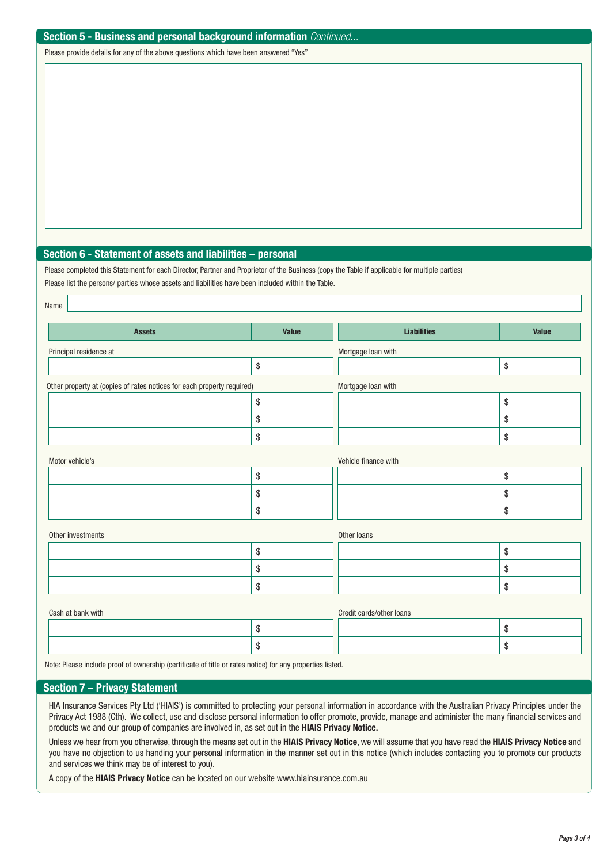#### **Section 5 - Business and personal background information** *Continued...*

Please provide details for any of the above questions which have been answered "Yes"

#### **Section 6 - Statement of assets and liabilities – personal**

Please completed this Statement for each Director, Partner and Proprietor of the Business (copy the Table if applicable for multiple parties) Please list the persons/ parties whose assets and liabilities have been included within the Table.

| Name                                                                   |                                           |                      |              |  |  |  |
|------------------------------------------------------------------------|-------------------------------------------|----------------------|--------------|--|--|--|
| <b>Assets</b>                                                          | <b>Value</b>                              | <b>Liabilities</b>   | <b>Value</b> |  |  |  |
| Principal residence at                                                 |                                           | Mortgage loan with   |              |  |  |  |
|                                                                        | $\,$                                      |                      | \$           |  |  |  |
| Other property at (copies of rates notices for each property required) |                                           | Mortgage Ioan with   |              |  |  |  |
|                                                                        | $\, \, \raisebox{12pt}{$\scriptstyle \$}$ |                      | \$           |  |  |  |
|                                                                        | \$                                        |                      | \$           |  |  |  |
|                                                                        | \$                                        |                      | \$           |  |  |  |
| Motor vehicle's                                                        |                                           | Vehicle finance with |              |  |  |  |
|                                                                        | $\$\,$                                    |                      | \$           |  |  |  |
|                                                                        | \$                                        |                      | \$           |  |  |  |
|                                                                        | \$                                        |                      | \$           |  |  |  |
| Other investments                                                      |                                           | Other loans          |              |  |  |  |
|                                                                        | $\$$                                      |                      | \$           |  |  |  |
|                                                                        | \$                                        |                      | \$           |  |  |  |
|                                                                        | \$                                        |                      | \$           |  |  |  |
| Credit cards/other loans<br>Cash at bank with                          |                                           |                      |              |  |  |  |
|                                                                        | \$                                        |                      | \$           |  |  |  |
|                                                                        | \$                                        |                      | \$           |  |  |  |

Note: Please include proof of ownership (certificate of title or rates notice) for any properties listed.

#### **Section 7 – Privacy Statement**

HIA Insurance Services Pty Ltd ('HIAIS') is committed to protecting your personal information in accordance with the Australian Privacy Principles under the Privacy Act 1988 (Cth). We collect, use and disclose personal information to offer promote, provide, manage and administer the many financial services and products we and our group of companies are involved in, as set out in the **HIAIS Privacy Notice.**

Unless we hear from you otherwise, through the means set out in the **HIAIS Privacy Notice**, we will assume that you have read the **HIAIS Privacy Notice** and you have no objection to us handing your personal information in the manner set out in this notice (which includes contacting you to promote our products and services we think may be of interest to you).

A copy of the **HIAIS Privacy Notice** can be located on our website <www.hiainsurance.com.au>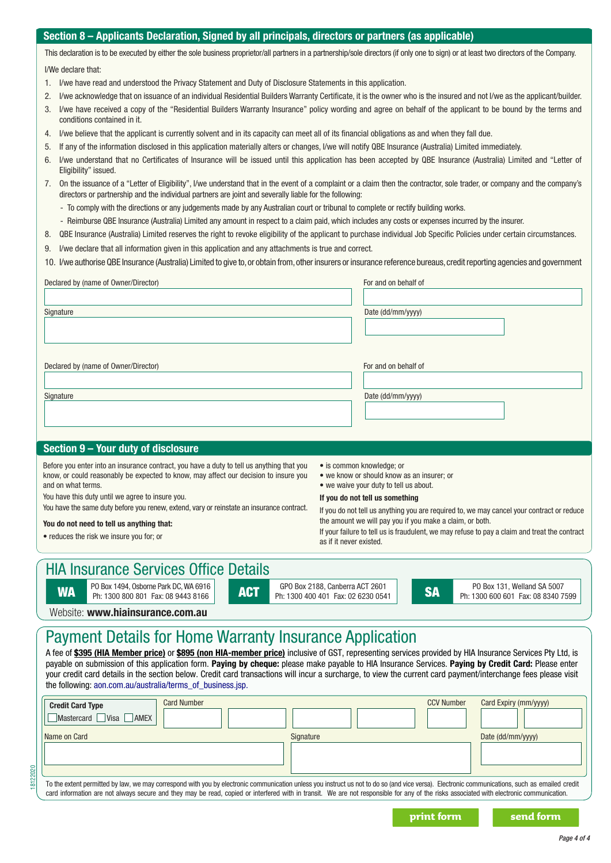#### **Section 7 – Applicants Declaration, Signed by all principals, directors or partners (as applicable) Section 8 – Applicants Declaration, Signed by all principals, directors or partners (as applicable)**

This declaration is to be executed by either the sole business proprietor/all partners in a partnership/sole directors (if only one to sign) or at least two directors of the Company.

I/We declare that:

- 1. I/we have read and understood the Privacy Statement and Duty of Disclosure Statements in this application.
- 2. I/we acknowledge that on issuance of an individual Residential Builders Warranty Certificate, it is the owner who is the insured and not I/we as the applicant/builder.
- 3. I/we have received a copy of the "Residential Builders Warranty Insurance" policy wording and agree on behalf of the applicant to be bound by the terms and conditions contained in it.
- 4. I/we believe that the applicant is currently solvent and in its capacity can meet all of its financial obligations as and when they fall due.
- 5. If any of the information disclosed in this application materially alters or changes, I/we will notify QBE Insurance (Australia) Limited immediately.
- 6. I/we understand that no Certificates of Insurance will be issued until this application has been accepted by QBE Insurance (Australia) Limited and "Letter of Eligibility" issued.
- 7. On the issuance of a "Letter of Eligibility", I/we understand that in the event of a complaint or a claim then the contractor, sole trader, or company and the company's directors or partnership and the individual partners are joint and severally liable for the following:
	- To comply with the directions or any judgements made by any Australian court or tribunal to complete or rectify building works.
	- Reimburse QBE Insurance (Australia) Limited any amount in respect to a claim paid, which includes any costs or expenses incurred by the insurer.
- 8. QBE Insurance (Australia) Limited reserves the right to revoke eligibility of the applicant to purchase individual Job Specific Policies under certain circumstances.
- 9. I/we declare that all information given in this application and any attachments is true and correct.
- 10. I/we authorise QBE Insurance (Australia) Limited to give to, or obtain from, other insurers or insurance reference bureaus, credit reporting agencies and government

| Declared by (name of Owner/Director)                                                                                                | For and on behalf of |  |  |  |  |
|-------------------------------------------------------------------------------------------------------------------------------------|----------------------|--|--|--|--|
| Signature                                                                                                                           | Date (dd/mm/yyyy)    |  |  |  |  |
| Declared by (name of Owner/Director)                                                                                                | For and on behalf of |  |  |  |  |
| Signature                                                                                                                           | Date (dd/mm/yyyy)    |  |  |  |  |
| Section 9 - Your duty of disclosure                                                                                                 |                      |  |  |  |  |
| Defensiven enterinte en inconsecutive exploration legacion del del del concelhior theotice in la commencialmente de conservation de |                      |  |  |  |  |

Before you enter into an insurance contract, you have a duty to tell us anything that you know, or could reasonably be expected to know, may affect our decision to insure you and on what terms.

You have this duty until we agree to insure you.

You have the same duty before you renew, extend, vary or reinstate an insurance contract.

#### **You do not need to tell us anything that:**

• reduces the risk we insure you for; or

18122020

- is common knowledge; or
- we know or should know as an insurer; or
- we waive your duty to tell us about.

#### **If you do not tell us something**

If you do not tell us anything you are required to, we may cancel your contract or reduce the amount we will pay you if you make a claim, or both.

If your failure to tell us is fraudulent, we may refuse to pay a claim and treat the contract as if it never existed.

### HIA Insurance Services Office Details

**WA PO Box 1494, Osborne Park DC, WA 6916**<br>Ph: 1300 800 801 Fax: 08 9443 8166

PO Box 1494, Osborne Park DC, WA 6916 **ACT ACT GPO Box 2188, Canberra ACT 2601** SA PO Box 131, Welland SA 5007<br>Ph: 1300 800 801 Fax: 08 8340 75

Ph: 1300 600 601 Fax: 08 8340 7599

Website: **www.hiainsurance.com.au**

### Payment Details for Home Warranty Insurance Application

A fee of **\$395 (HIA Member price)** or **\$895 (non HIA-member price)** inclusive of GST, representing services provided by HIA Insurance Services Pty Ltd, is payable on submission of this application form. **Paying by cheque:** please make payable to HIA Insurance Services. **Paying by Credit Card:** Please enter your credit card details in the section below. Credit card transactions will incur a surcharge, to view the curre[nt card payment/interchange fees please visit](www.aon.com.au/australia/terms_of_business.jsp) the following: aon.com.au/australia/terms\_of\_business.jsp.

| <b>Card Number</b><br><b>Credit Card Type</b><br>Mastercard Visa AMEX                                                                                                                          |           | <b>CCV Number</b> | Card Expiry (mm/yyyy) |  |  |
|------------------------------------------------------------------------------------------------------------------------------------------------------------------------------------------------|-----------|-------------------|-----------------------|--|--|
| Name on Card                                                                                                                                                                                   | Signature |                   | Date (dd/mm/yyyy)     |  |  |
| To the extent permitted by law, we may correspond with you by electronic communication unless you instruct us not to do so (and vice versa). Electronic communications, such as emailed credit |           |                   |                       |  |  |

card information are not always secure and they may be read, copied or interfered with in transit. We are not responsible for any of the risks associated with electronic communication.

**print form send form**